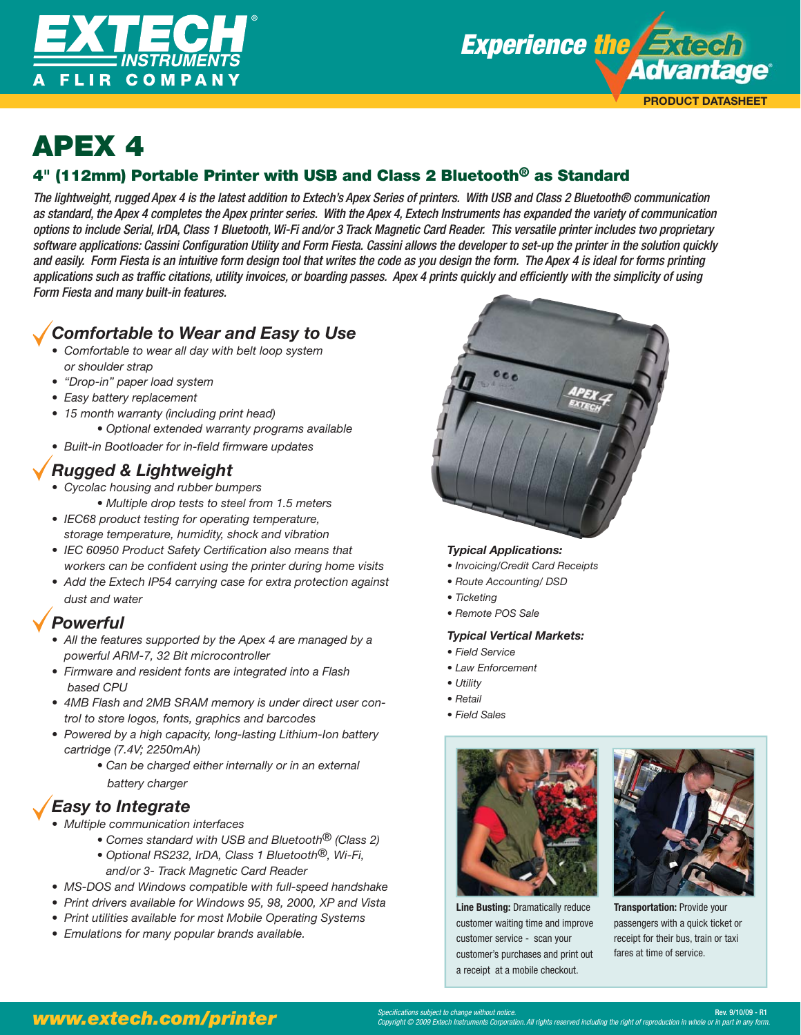



# **APEX 4**<br>4" (112mm) Portable Printer with USB and Class 2 Bluetooth<sup>®</sup> as Standard

The lightweight, rugged Apex 4 is the latest addition to Extech's Apex Series of printers. With USB and Class 2 Bluetooth® communication as standard, the Apex 4 completes the Apex printer series. With the Apex 4, Extech Instruments has expanded the variety of communication options to include Serial, IrDA, Class 1 Bluetooth, Wi-Fi and/or 3 Track Magnetic Card Reader. This versatile printer includes two proprietary software applications: Cassini Configuration Utility and Form Fiesta. Cassini allows the developer to set-up the printer in the solution quickly and easily. Form Fiesta is an intuitive form design tool that writes the code as you design the form. The Apex 4 is ideal for forms printing applications such as traffic citations, utility invoices, or boarding passes. Apex 4 prints quickly and efficiently with the simplicity of using Form Fiesta and many built-in features.

## *Comfortable to Wear and Easy to Use*

- *Comfortable to wear all day with belt loop system or shoulder strap*
- *"Drop-in" paper load system*
- *Easy battery replacement*
- *15 month warranty (including print head) • Optional extended warranty programs available*
- Built-in Bootloader for in-field firmware updates

## *Rugged & Lightweight*

- *Cycolac housing and rubber bumpers* 
	- *Multiple drop tests to steel from 1.5 meters*
- *IEC68 product testing for operating temperature, storage temperature, humidity, shock and vibration*
- IEC 60950 Product Safety Certification also means that workers can be confident using the printer during home visits
- *Add the Extech IP54 carrying case for extra protection against dust and water*

### *Powerful*

- *All the features supported by the Apex 4 are managed by a powerful ARM-7, 32 Bit microcontroller*
- *Firmware and resident fonts are integrated into a Flash based CPU*
- *4MB Flash and 2MB SRAM memory is under direct user control to store logos, fonts, graphics and barcodes*
- *Powered by a high capacity, long-lasting Lithium-Ion battery cartridge (7.4V; 2250mAh)* 
	- *Can be charged either internally or in an external battery charger*

## *Easy to Integrate*

- *Multiple communication interfaces* 
	- *Comes standard with USB and Bluetooth® (Class 2)*
	- *Optional RS232, IrDA, Class 1 Bluetooth®, Wi-Fi,*
	- *and/or 3- Track Magnetic Card Reader*
- *MS-DOS and Windows compatible with full-speed handshake*
- *Print drivers available for Windows 95, 98, 2000, XP and Vista*
- *Print utilities available for most Mobile Operating Systems*
- *Emulations for many popular brands available.*



### *Typical Applications:*

- *Invoicing/Credit Card Receipts*
- *Route Accounting/ DSD*
- *Ticketing*
- *Remote POS Sale*

#### *Typical Vertical Markets:*

- *Field Service*
- *Law Enforcement*
- *Utility*
- *Retail*
- *Field Sales*



**Line Busting:** Dramatically reduce customer waiting time and improve customer service - scan your customer's purchases and print out a receipt at a mobile checkout.



**Transportation:** Provide your passengers with a quick ticket or receipt for their bus, train or taxi fares at time of service.